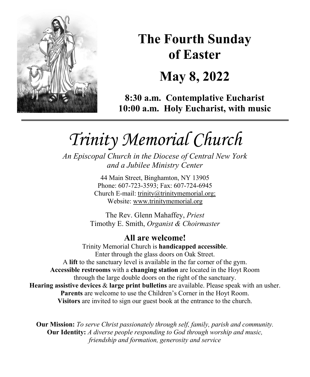

# **The Fourth Sunday of Easter**

# **May 8, 2022**

**8:30 a.m. Contemplative Eucharist 10:00 a.m. Holy Eucharist, with music**

*Trinity Memorial Church*

*An Episcopal Church in the Diocese of Central New York and a Jubilee Ministry Center*

> 44 Main Street, Binghamton, NY 13905 Phone: 607-723-3593; Fax: 607-724-6945 Church E-mail: trinity@trinitymemorial.org; Website: www.trinitymemorial.org

The Rev. Glenn Mahaffey, *Priest* Timothy E. Smith, *Organist & Choirmaster* 

**All are welcome!** Trinity Memorial Church is **handicapped accessible**. Enter through the glass doors on Oak Street. A **lift** to the sanctuary level is available in the far corner of the gym. **Accessible restrooms** with a **changing station** are located in the Hoyt Room through the large double doors on the right of the sanctuary. **Hearing assistive devices** & **large print bulletins** are available. Please speak with an usher. **Parents** are welcome to use the Children's Corner in the Hoyt Room. **Visitors** are invited to sign our guest book at the entrance to the church.

**Our Mission:** *To serve Christ passionately through self, family, parish and community.* **Our Identity:** *A diverse people responding to God through worship and music, friendship and formation, generosity and service*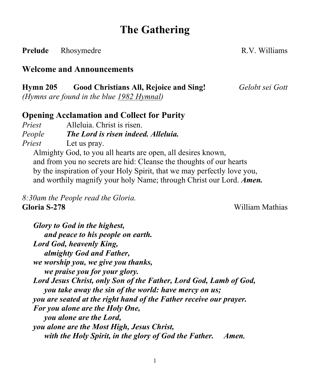## **The Gathering**

#### **Prelude** Rhosymedre R.V. Williams

#### **Welcome and Announcements**

## **Hymn 205 Good Christians All, Rejoice and Sing!** *Gelobt sei Gott*

*(Hymns are found in the blue 1982 Hymnal)*

## **Opening Acclamation and Collect for Purity**

*Priest* Alleluia. Christ is risen. *People The Lord is risen indeed. Alleluia. Priest* Let us pray. Almighty God, to you all hearts are open, all desires known, and from you no secrets are hid: Cleanse the thoughts of our hearts by the inspiration of your Holy Spirit, that we may perfectly love you, and worthily magnify your holy Name; through Christ our Lord. *Amen.*

*8:30am the People read the Gloria.* **Gloria S-278** William Mathias

*Glory to God in the highest, and peace to his people on earth. Lord God, heavenly King, almighty God and Father, we worship you, we give you thanks, we praise you for your glory. Lord Jesus Christ, only Son of the Father, Lord God, Lamb of God, you take away the sin of the world: have mercy on us; you are seated at the right hand of the Father receive our prayer. For you alone are the Holy One, you alone are the Lord, you alone are the Most High, Jesus Christ, with the Holy Spirit, in the glory of God the Father. Amen.*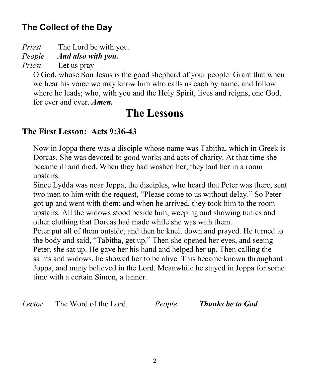## **The Collect of the Day**

*Priest* The Lord be with you.

*People And also with you.*

*Priest* Let us pray

O God, whose Son Jesus is the good shepherd of your people: Grant that when we hear his voice we may know him who calls us each by name, and follow where he leads; who, with you and the Holy Spirit, lives and reigns, one God, for ever and ever. *Amen.*

## **The Lessons**

## **The First Lesson: Acts 9:36-43**

Now in Joppa there was a disciple whose name was Tabitha, which in Greek is Dorcas. She was devoted to good works and acts of charity. At that time she became ill and died. When they had washed her, they laid her in a room upstairs.

Since Lydda was near Joppa, the disciples, who heard that Peter was there, sent two men to him with the request, "Please come to us without delay." So Peter got up and went with them; and when he arrived, they took him to the room upstairs. All the widows stood beside him, weeping and showing tunics and other clothing that Dorcas had made while she was with them.

Peter put all of them outside, and then he knelt down and prayed. He turned to the body and said, "Tabitha, get up." Then she opened her eyes, and seeing Peter, she sat up. He gave her his hand and helped her up. Then calling the saints and widows, he showed her to be alive. This became known throughout Joppa, and many believed in the Lord. Meanwhile he stayed in Joppa for some time with a certain Simon, a tanner.

*Lector* The Word of the Lord. *People Thanks be to God*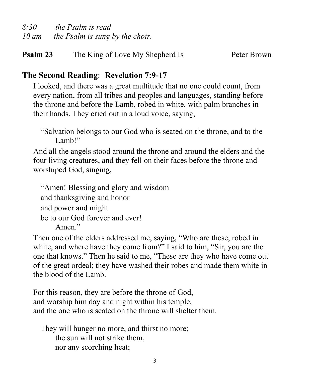*8:30 the Psalm is read 10 am the Psalm is sung by the choir.*

## **Psalm 23** The King of Love My Shepherd Is Peter Brown

## **The Second Reading**: **Revelation 7:9-17**

I looked, and there was a great multitude that no one could count, from every nation, from all tribes and peoples and languages, standing before the throne and before the Lamb, robed in white, with palm branches in their hands. They cried out in a loud voice, saying,

"Salvation belongs to our God who is seated on the throne, and to the Lamb!"

And all the angels stood around the throne and around the elders and the four living creatures, and they fell on their faces before the throne and worshiped God, singing,

```
"Amen! Blessing and glory and wisdom
and thanksgiving and honor
and power and might
be to our God forever and ever!
    Amen"
```
Then one of the elders addressed me, saying, "Who are these, robed in white, and where have they come from?" I said to him, "Sir, you are the one that knows." Then he said to me, "These are they who have come out of the great ordeal; they have washed their robes and made them white in the blood of the Lamb.

For this reason, they are before the throne of God, and worship him day and night within his temple, and the one who is seated on the throne will shelter them.

They will hunger no more, and thirst no more; the sun will not strike them, nor any scorching heat;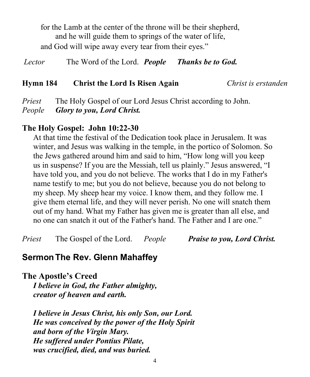for the Lamb at the center of the throne will be their shepherd, and he will guide them to springs of the water of life, and God will wipe away every tear from their eyes."

*Lector* The Word of the Lord. *People Thanks be to God.*

#### **Hymn 184 Christ the Lord Is Risen Again** *Christ is erstanden*

*Priest* The Holy Gospel of our Lord Jesus Christ according to John. *People Glory to you, Lord Christ.*

#### **The Holy Gospel: John 10:22-30**

At that time the festival of the Dedication took place in Jerusalem. It was winter, and Jesus was walking in the temple, in the portico of Solomon. So the Jews gathered around him and said to him, "How long will you keep us in suspense? If you are the Messiah, tell us plainly." Jesus answered, "I have told you, and you do not believe. The works that I do in my Father's name testify to me; but you do not believe, because you do not belong to my sheep. My sheep hear my voice. I know them, and they follow me. I give them eternal life, and they will never perish. No one will snatch them out of my hand. What my Father has given me is greater than all else, and no one can snatch it out of the Father's hand. The Father and I are one."

*Priest* The Gospel of the Lord. *People Praise to you, Lord Christ.*

## **SermonThe Rev. Glenn Mahaffey**

**The Apostle's Creed**

*I believe in God, the Father almighty, creator of heaven and earth.*

*I believe in Jesus Christ, his only Son, our Lord. He was conceived by the power of the Holy Spirit and born of the Virgin Mary. He suffered under Pontius Pilate, was crucified, died, and was buried.*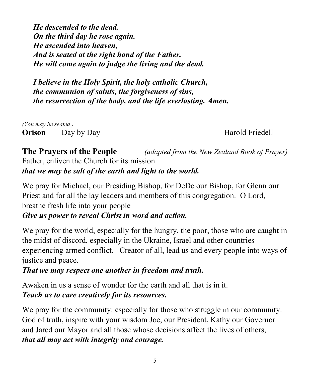*He descended to the dead. On the third day he rose again. He ascended into heaven, And is seated at the right hand of the Father. He will come again to judge the living and the dead.*

*I believe in the Holy Spirit, the holy catholic Church, the communion of saints, the forgiveness of sins, the resurrection of the body, and the life everlasting. Amen.*

*(You may be seated.)* **Orison** Day by Day **Harold Friedell** 

**The Prayers of the People** *(adapted from the New Zealand Book of Prayer)* Father, enliven the Church for its mission *that we may be salt of the earth and light to the world.*

We pray for Michael, our Presiding Bishop, for DeDe our Bishop, for Glenn our Priest and for all the lay leaders and members of this congregation. O Lord, breathe fresh life into your people

## *Give us power to reveal Christ in word and action.*

We pray for the world, especially for the hungry, the poor, those who are caught in the midst of discord, especially in the Ukraine, Israel and other countries experiencing armed conflict. Creator of all, lead us and every people into ways of justice and peace.

## *That we may respect one another in freedom and truth.*

Awaken in us a sense of wonder for the earth and all that is in it. *Teach us to care creatively for its resources.*

We pray for the community: especially for those who struggle in our community. God of truth, inspire with your wisdom Joe, our President, Kathy our Governor and Jared our Mayor and all those whose decisions affect the lives of others, *that all may act with integrity and courage.*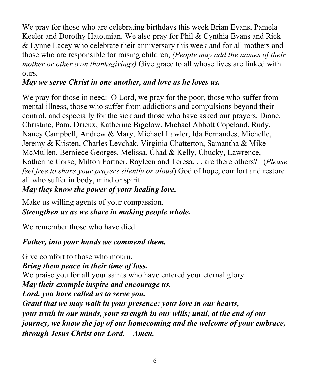We pray for those who are celebrating birthdays this week Brian Evans, Pamela Keeler and Dorothy Hatounian. We also pray for Phil & Cynthia Evans and Rick & Lynne Lacey who celebrate their anniversary this week and for all mothers and those who are responsible for raising children, *(People may add the names of their mother or other own thanksgivings)* Give grace to all whose lives are linked with ours,

## *May we serve Christ in one another, and love as he loves us.*

We pray for those in need: O Lord, we pray for the poor, those who suffer from mental illness, those who suffer from addictions and compulsions beyond their control, and especially for the sick and those who have asked our prayers, Diane, Christine, Pam, Drieux, Katherine Bigelow, Michael Abbott Copeland, Rudy, Nancy Campbell, Andrew & Mary, Michael Lawler, Ida Fernandes, Michelle, Jeremy & Kristen, Charles Levchak, Virginia Chatterton, Samantha & Mike McMullen, Berniece Georges, Melissa, Chad & Kelly, Chucky, Lawrence, Katherine Corse, Milton Fortner, Rayleen and Teresa. . . are there others? (*Please feel free to share your prayers silently or aloud*) God of hope, comfort and restore all who suffer in body, mind or spirit. *May they know the power of your healing love.*

Make us willing agents of your compassion. *Strengthen us as we share in making people whole.*

We remember those who have died.

## *Father, into your hands we commend them.*

Give comfort to those who mourn. *Bring them peace in their time of loss.* We praise you for all your saints who have entered your eternal glory. *May their example inspire and encourage us. Lord, you have called us to serve you. Grant that we may walk in your presence: your love in our hearts, your truth in our minds, your strength in our wills; until, at the end of our journey, we know the joy of our homecoming and the welcome of your embrace, through Jesus Christ our Lord. Amen.*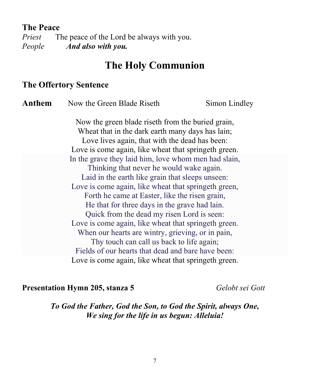## **The Peace**

*Priest* The peace of the Lord be always with you. *People And also with you.*

## **The Holy Communion**

### **The Offertory Sentence**

| Anthem                                                                                                   | Now the Green Blade Riseth                                                                                                                                                                                                                                 | Simon Lindley |  |
|----------------------------------------------------------------------------------------------------------|------------------------------------------------------------------------------------------------------------------------------------------------------------------------------------------------------------------------------------------------------------|---------------|--|
|                                                                                                          | Now the green blade riseth from the buried grain,                                                                                                                                                                                                          |               |  |
|                                                                                                          | Wheat that in the dark earth many days has lain;<br>Love lives again, that with the dead has been:                                                                                                                                                         |               |  |
|                                                                                                          |                                                                                                                                                                                                                                                            |               |  |
|                                                                                                          | Love is come again, like wheat that springeth green.                                                                                                                                                                                                       |               |  |
|                                                                                                          | In the grave they laid him, love whom men had slain,<br>Thinking that never he would wake again.                                                                                                                                                           |               |  |
|                                                                                                          |                                                                                                                                                                                                                                                            |               |  |
| Laid in the earth like grain that sleeps unseen:<br>Love is come again, like wheat that springeth green, |                                                                                                                                                                                                                                                            |               |  |
|                                                                                                          |                                                                                                                                                                                                                                                            |               |  |
|                                                                                                          | Forth he came at Easter, like the risen grain,<br>He that for three days in the grave had lain.<br>Quick from the dead my risen Lord is seen:<br>Love is come again, like wheat that springeth green.<br>When our hearts are wintry, grieving, or in pain, |               |  |
|                                                                                                          |                                                                                                                                                                                                                                                            |               |  |
|                                                                                                          |                                                                                                                                                                                                                                                            |               |  |
|                                                                                                          |                                                                                                                                                                                                                                                            |               |  |
|                                                                                                          |                                                                                                                                                                                                                                                            |               |  |
| Thy touch can call us back to life again;                                                                |                                                                                                                                                                                                                                                            |               |  |
|                                                                                                          | Fields of our hearts that dead and bare have been:                                                                                                                                                                                                         |               |  |
|                                                                                                          | Love is come again, like wheat that springeth green.                                                                                                                                                                                                       |               |  |

**Presentation Hymn 205, stanza 5** *Gelobt sei Gott*

## *To God the Father, God the Son, to God the Spirit, always One, We sing for the life in us begun: Alleluia!*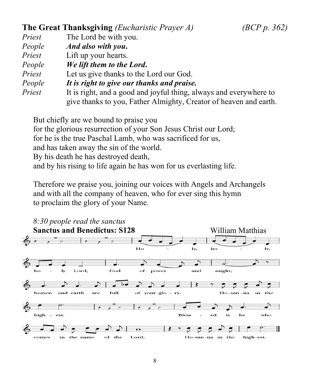## **The Great Thanksgiving** *(Eucharistic Prayer A) (BCP p. 362)*

| Priest | The Lord be with you.                                              |
|--------|--------------------------------------------------------------------|
| People | And also with you.                                                 |
| Priest | Lift up your hearts.                                               |
| People | We lift them to the Lord.                                          |
| Priest | Let us give thanks to the Lord our God.                            |
| People | It is right to give our thanks and praise.                         |
| Priest | It is right, and a good and joyful thing, always and everywhere to |
|        | give thanks to you, Father Almighty, Creator of heaven and earth.  |

But chiefly are we bound to praise you for the glorious resurrection of your Son Jesus Christ our Lord; for he is the true Paschal Lamb, who was sacrificed for us, and has taken away the sin of the world. By his death he has destroyed death, and by his rising to life again he has won for us everlasting life.

Therefore we praise you, joining our voices with Angels and Archangels and with all the company of heaven, who for ever sing this hymn to proclaim the glory of your Name.

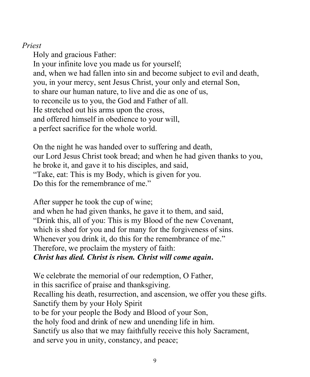### *Priest*

Holy and gracious Father: In your infinite love you made us for yourself; and, when we had fallen into sin and become subject to evil and death, you, in your mercy, sent Jesus Christ, your only and eternal Son, to share our human nature, to live and die as one of us, to reconcile us to you, the God and Father of all. He stretched out his arms upon the cross, and offered himself in obedience to your will, a perfect sacrifice for the whole world.

On the night he was handed over to suffering and death, our Lord Jesus Christ took bread; and when he had given thanks to you, he broke it, and gave it to his disciples, and said, "Take, eat: This is my Body, which is given for you. Do this for the remembrance of me."

After supper he took the cup of wine; and when he had given thanks, he gave it to them, and said, "Drink this, all of you: This is my Blood of the new Covenant, which is shed for you and for many for the forgiveness of sins.

Whenever you drink it, do this for the remembrance of me."

Therefore, we proclaim the mystery of faith:

*Christ has died. Christ is risen. Christ will come again***.**

We celebrate the memorial of our redemption, O Father, in this sacrifice of praise and thanksgiving. Recalling his death, resurrection, and ascension, we offer you these gifts. Sanctify them by your Holy Spirit to be for your people the Body and Blood of your Son, the holy food and drink of new and unending life in him. Sanctify us also that we may faithfully receive this holy Sacrament, and serve you in unity, constancy, and peace;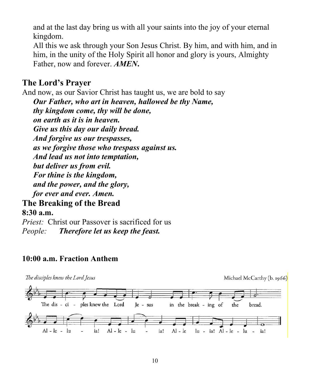and at the last day bring us with all your saints into the joy of your eternal kingdom.

All this we ask through your Son Jesus Christ. By him, and with him, and in him, in the unity of the Holy Spirit all honor and glory is yours, Almighty Father, now and forever. *AMEN***.**

## **The Lord's Prayer**

And now, as our Savior Christ has taught us, we are bold to say *Our Father, who art in heaven, hallowed be thy Name, thy kingdom come, thy will be done, on earth as it is in heaven. Give us this day our daily bread. And forgive us our trespasses, as we forgive those who trespass against us. And lead us not into temptation, but deliver us from evil. For thine is the kingdom, and the power, and the glory, for ever and ever. Amen.* **The Breaking of the Bread 8:30 a.m.** 

*Priest:* Christ our Passover is sacrificed for us *People: Therefore let us keep the feast.*

## **10:00 a.m. Fraction Anthem**

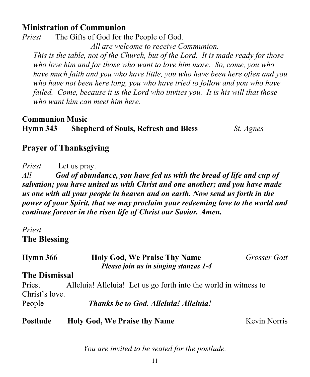## **Ministration of Communion**

*Priest* The Gifts of God for the People of God.

*All are welcome to receive Communion.*

*This is the table, not of the Church, but of the Lord. It is made ready for those who love him and for those who want to love him more. So, come, you who have much faith and you who have little, you who have been here often and you who have not been here long, you who have tried to follow and you who have failed. Come, because it is the Lord who invites you. It is his will that those who want him can meet him here.*

### **Communion Music Hymn 343 Shepherd of Souls, Refresh and Bless** *St. Agnes*

## **Prayer of Thanksgiving**

*Priest* Let us pray. *All God of abundance, you have fed us with the bread of life and cup of salvation; you have united us with Christ and one another; and you have made us one with all your people in heaven and on earth. Now send us forth in the power of your Spirit, that we may proclaim your redeeming love to the world and continue forever in the risen life of Christ our Savior. Amen.*

*Priest* **The Blessing**

| <b>Hymn 366</b>      | <b>Holy God, We Praise Thy Name</b><br>Please join us in singing stanzas 1-4 | Grosser Gott        |
|----------------------|------------------------------------------------------------------------------|---------------------|
| <b>The Dismissal</b> |                                                                              |                     |
| Priest               | Alleluia! Alleluia! Let us go forth into the world in witness to             |                     |
| Christ's love.       |                                                                              |                     |
| People               | <b>Thanks be to God. Alleluia! Alleluia!</b>                                 |                     |
| <b>Postlude</b>      | <b>Holy God, We Praise thy Name</b>                                          | <b>Kevin Norris</b> |

*You are invited to be seated for the postlude.*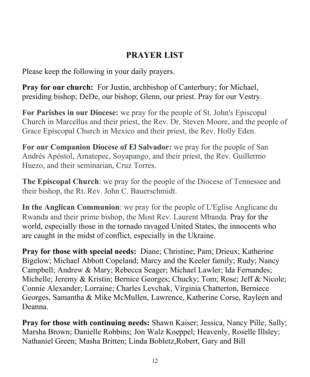## **PRAYER LIST**

Please keep the following in your daily prayers.

**Pray for our church:** For Justin, archbishop of Canterbury; for Michael, presiding bishop; DeDe, our bishop; Glenn, our priest. Pray for our Vestry.

**For Parishes in our Diocese:** we pray for the people of St. John's Episcopal Church in Marcellus and their priest, the Rev. Dr. Steven Moore, and the people of Grace Episcopal Church in Mexico and their priest, the Rev. Holly Eden.

**For our Companion Diocese of El Salvador:** we pray for the people of San Andrés Apóstol, Amatepec, Soyapango, and their priest, the Rev. Guillermo Huezo, and their seminarian, Cruz Torres.

**The Episcopal Church**: we pray for the people of the Diocese of Tennessee and their bishop, the Rt. Rev. John C. Bauerschmidt.

**In the Anglican Communion**: we pray for the people of L'Eglise Anglicane du Rwanda and their prime bishop, the Most Rev. Laurent Mbanda. Pray for the world, especially those in the tornado ravaged United States, the innocents who are caught in the midst of conflict, especially in the Ukraine.

**Pray for those with special needs:** Diane; Christine; Pam; Drieux; Katherine Bigelow; Michael Abbott Copeland; Marcy and the Keeler family; Rudy; Nancy Campbell; Andrew & Mary; Rebecca Seager; Michael Lawler; Ida Fernandes; Michelle; Jeremy & Kristin; Bernice Georges; Chucky; Tom; Rose; Jeff & Nicole; Connie Alexander; Lorraine; Charles Levchak, Virginia Chatterton, Berniece Georges, Samantha & Mike McMullen, Lawrence, Katherine Corse, Rayleen and Deanna.

**Pray for those with continuing needs:** Shawn Kaiser; Jessica, Nancy Pille; Sally; Marsha Brown; Danielle Robbins; Jon Walz Koeppel; Heavenly, Roselle Illsley; Nathaniel Green; Masha Britten; Linda Bobletz,Robert, Gary and Bill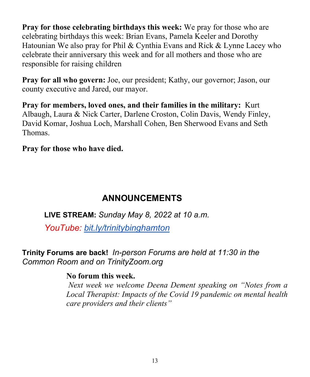**Pray for those celebrating birthdays this week:** We pray for those who are celebrating birthdays this week: Brian Evans, Pamela Keeler and Dorothy Hatounian We also pray for Phil & Cynthia Evans and Rick & Lynne Lacey who celebrate their anniversary this week and for all mothers and those who are responsible for raising children

**Pray for all who govern:** Joe, our president; Kathy, our governor; Jason, our county executive and Jared, our mayor.

**Pray for members, loved ones, and their families in the military:** Kurt Albaugh, Laura & Nick Carter, Darlene Croston, Colin Davis, Wendy Finley, David Komar, Joshua Loch, Marshall Cohen, Ben Sherwood Evans and Seth Thomas.

**Pray for those who have died.**

## **ANNOUNCEMENTS**

**LIVE STREAM:** *Sunday May 8, 2022 at 10 a.m.*

*YouTube: [bit.ly/trinitybinghamton](https://www.youtube.com/c/TrinityMemorialEpiscopalChurch)*

**Trinity Forums are back!** *In-person Forums are held at 11:30 in the Common Room and on TrinityZoom.org*

## **No forum this week.**

*Next week we welcome Deena Dement speaking on "Notes from a Local Therapist: Impacts of the Covid 19 pandemic on mental health care providers and their clients"*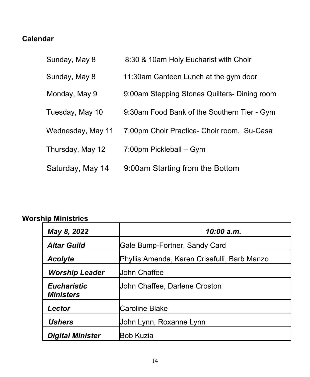## **Calendar**

| Sunday, May 8     | 8:30 & 10am Holy Eucharist with Choir        |
|-------------------|----------------------------------------------|
| Sunday, May 8     | 11:30am Canteen Lunch at the gym door        |
| Monday, May 9     | 9:00am Stepping Stones Quilters- Dining room |
| Tuesday, May 10   | 9:30am Food Bank of the Southern Tier - Gym  |
| Wednesday, May 11 | 7:00pm Choir Practice- Choir room, Su-Casa   |
| Thursday, May 12  | 7:00pm Pickleball – Gym                      |
| Saturday, May 14  | 9:00am Starting from the Bottom              |

## **Worship Ministries**

| May 8, 2022                            | 10:00 a.m.                                   |
|----------------------------------------|----------------------------------------------|
| <b>Altar Guild</b>                     | Gale Bump-Fortner, Sandy Card                |
| <b>Acolyte</b>                         | Phyllis Amenda, Karen Crisafulli, Barb Manzo |
| <b>Worship Leader</b>                  | John Chaffee                                 |
| <b>Eucharistic</b><br><b>Ministers</b> | John Chaffee, Darlene Croston                |
| Lector                                 | <b>Caroline Blake</b>                        |
| <b>Ushers</b>                          | John Lynn, Roxanne Lynn                      |
| <b>Digital Minister</b>                | <b>Bob Kuzia</b>                             |